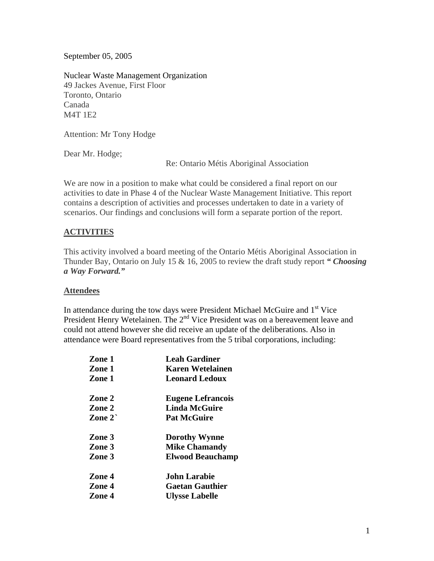September 05, 2005

Nuclear Waste Management Organization 49 Jackes Avenue, First Floor Toronto, Ontario Canada M4T 1E2

Attention: Mr Tony Hodge

Dear Mr. Hodge;

Re: Ontario Métis Aboriginal Association

We are now in a position to make what could be considered a final report on our activities to date in Phase 4 of the Nuclear Waste Management Initiative. This report contains a description of activities and processes undertaken to date in a variety of scenarios. Our findings and conclusions will form a separate portion of the report.

#### **ACTIVITIES**

This activity involved a board meeting of the Ontario Métis Aboriginal Association in Thunder Bay, Ontario on July 15 & 16, 2005 to review the draft study report *" Choosing a Way Forward."* 

#### **Attendees**

In attendance during the tow days were President Michael McGuire and 1<sup>st</sup> Vice President Henry Wetelainen. The 2<sup>nd</sup> Vice President was on a bereavement leave and could not attend however she did receive an update of the deliberations. Also in attendance were Board representatives from the 5 tribal corporations, including:

| Zone 1           | <b>Leah Gardiner</b>     |
|------------------|--------------------------|
| Zone 1           | <b>Karen Wetelainen</b>  |
| Zone 1           | <b>Leonard Ledoux</b>    |
| Zone 2           | <b>Eugene Lefrancois</b> |
| Zone 2           | <b>Linda McGuire</b>     |
| Zone $2^{\circ}$ | <b>Pat McGuire</b>       |
| Zone 3           | <b>Dorothy Wynne</b>     |
| Zone 3           | <b>Mike Chamandy</b>     |
| Zone 3           | <b>Elwood Beauchamp</b>  |
| Zone 4           | <b>John Larabie</b>      |
| Zone 4           | <b>Gaetan Gauthier</b>   |
| Zone 4           | <b>Ulysse Labelle</b>    |
|                  |                          |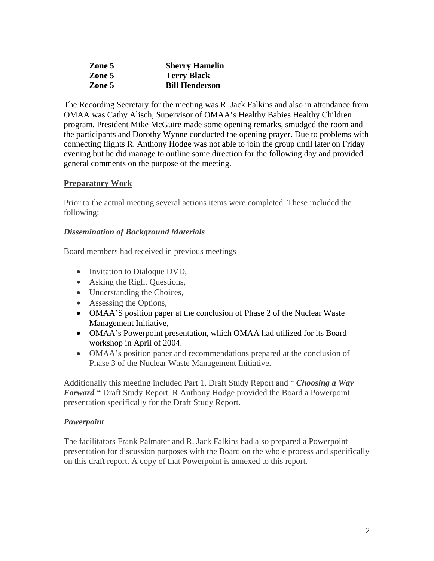| Zone 5 | <b>Sherry Hamelin</b> |
|--------|-----------------------|
| Zone 5 | <b>Terry Black</b>    |
| Zone 5 | <b>Bill Henderson</b> |

The Recording Secretary for the meeting was R. Jack Falkins and also in attendance from OMAA was Cathy Alisch, Supervisor of OMAA's Healthy Babies Healthy Children program**.** President Mike McGuire made some opening remarks, smudged the room and the participants and Dorothy Wynne conducted the opening prayer. Due to problems with connecting flights R. Anthony Hodge was not able to join the group until later on Friday evening but he did manage to outline some direction for the following day and provided general comments on the purpose of the meeting.

### **Preparatory Work**

Prior to the actual meeting several actions items were completed. These included the following:

### *Dissemination of Background Materials*

Board members had received in previous meetings

- Invitation to Dialoque DVD,
- Asking the Right Questions,
- Understanding the Choices,
- Assessing the Options,
- OMAA'S position paper at the conclusion of Phase 2 of the Nuclear Waste Management Initiative,
- OMAA's Powerpoint presentation, which OMAA had utilized for its Board workshop in April of 2004.
- OMAA's position paper and recommendations prepared at the conclusion of Phase 3 of the Nuclear Waste Management Initiative.

Additionally this meeting included Part 1, Draft Study Report and " *Choosing a Way Forward "* Draft Study Report. R Anthony Hodge provided the Board a Powerpoint presentation specifically for the Draft Study Report.

### *Powerpoint*

The facilitators Frank Palmater and R. Jack Falkins had also prepared a Powerpoint presentation for discussion purposes with the Board on the whole process and specifically on this draft report. A copy of that Powerpoint is annexed to this report.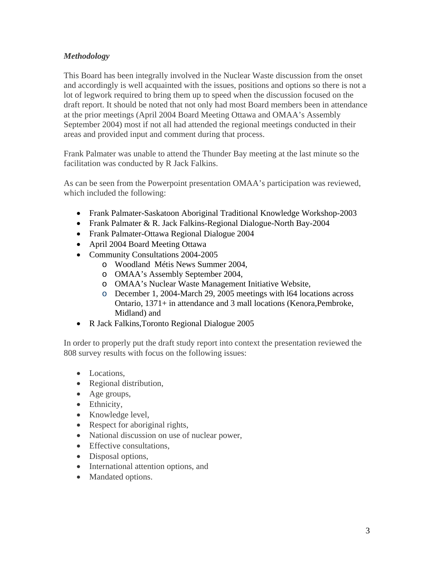## *Methodology*

This Board has been integrally involved in the Nuclear Waste discussion from the onset and accordingly is well acquainted with the issues, positions and options so there is not a lot of legwork required to bring them up to speed when the discussion focused on the draft report. It should be noted that not only had most Board members been in attendance at the prior meetings (April 2004 Board Meeting Ottawa and OMAA's Assembly September 2004) most if not all had attended the regional meetings conducted in their areas and provided input and comment during that process.

Frank Palmater was unable to attend the Thunder Bay meeting at the last minute so the facilitation was conducted by R Jack Falkins.

As can be seen from the Powerpoint presentation OMAA's participation was reviewed, which included the following:

- Frank Palmater-Saskatoon Aboriginal Traditional Knowledge Workshop-2003
- Frank Palmater & R. Jack Falkins-Regional Dialogue-North Bay-2004
- Frank Palmater-Ottawa Regional Dialogue 2004
- April 2004 Board Meeting Ottawa
- Community Consultations 2004-2005
	- o Woodland Métis News Summer 2004,
	- o OMAA's Assembly September 2004,
	- o OMAA's Nuclear Waste Management Initiative Website,
	- o December 1, 2004-March 29, 2005 meetings with l64 locations across Ontario, 1371+ in attendance and 3 mall locations (Kenora,Pembroke, Midland) and
- R Jack Falkins,Toronto Regional Dialogue 2005

In order to properly put the draft study report into context the presentation reviewed the 808 survey results with focus on the following issues:

- Locations,
- Regional distribution,
- Age groups,
- Ethnicity,
- Knowledge level,
- Respect for aboriginal rights,
- National discussion on use of nuclear power,
- Effective consultations.
- Disposal options,
- International attention options, and
- Mandated options.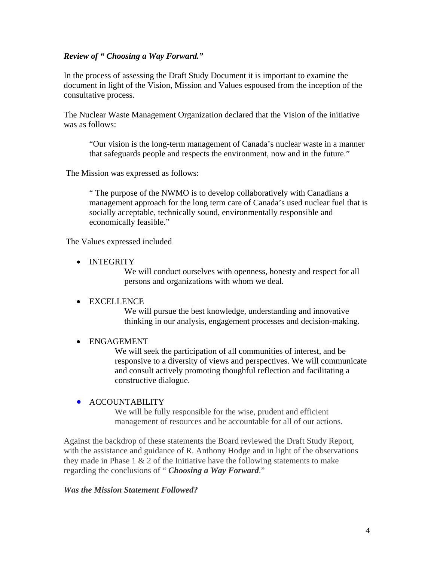#### *Review of " Choosing a Way Forward."*

In the process of assessing the Draft Study Document it is important to examine the document in light of the Vision, Mission and Values espoused from the inception of the consultative process.

The Nuclear Waste Management Organization declared that the Vision of the initiative was as follows:

"Our vision is the long-term management of Canada's nuclear waste in a manner that safeguards people and respects the environment, now and in the future."

The Mission was expressed as follows:

" The purpose of the NWMO is to develop collaboratively with Canadians a management approach for the long term care of Canada's used nuclear fuel that is socially acceptable, technically sound, environmentally responsible and economically feasible."

The Values expressed included

• INTEGRITY

We will conduct ourselves with openness, honesty and respect for all persons and organizations with whom we deal.

### • EXCELLENCE

We will pursue the best knowledge, understanding and innovative thinking in our analysis, engagement processes and decision-making.

### • ENGAGEMENT

We will seek the participation of all communities of interest, and be responsive to a diversity of views and perspectives. We will communicate and consult actively promoting thoughful reflection and facilitating a constructive dialogue.

### • ACCOUNTABILITY

We will be fully responsible for the wise, prudent and efficient management of resources and be accountable for all of our actions.

Against the backdrop of these statements the Board reviewed the Draft Study Report, with the assistance and guidance of R. Anthony Hodge and in light of the observations they made in Phase  $1 \& 2$  of the Initiative have the following statements to make regarding the conclusions of " *Choosing a Way Forward*."

### *Was the Mission Statement Followed?*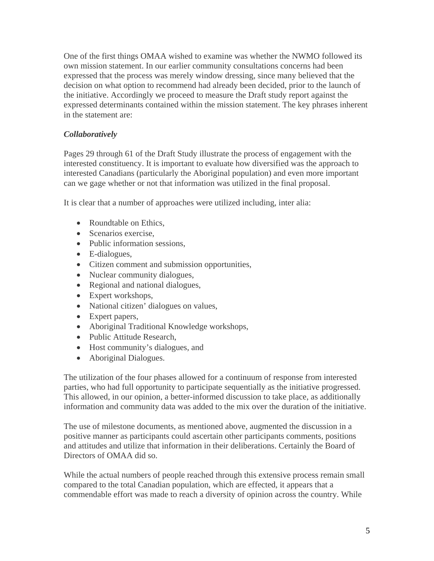One of the first things OMAA wished to examine was whether the NWMO followed its own mission statement. In our earlier community consultations concerns had been expressed that the process was merely window dressing, since many believed that the decision on what option to recommend had already been decided, prior to the launch of the initiative. Accordingly we proceed to measure the Draft study report against the expressed determinants contained within the mission statement. The key phrases inherent in the statement are:

## *Collaboratively*

Pages 29 through 61 of the Draft Study illustrate the process of engagement with the interested constituency. It is important to evaluate how diversified was the approach to interested Canadians (particularly the Aboriginal population) and even more important can we gage whether or not that information was utilized in the final proposal.

It is clear that a number of approaches were utilized including, inter alia:

- Roundtable on Ethics,
- Scenarios exercise.
- Public information sessions,
- E-dialogues,
- Citizen comment and submission opportunities,
- Nuclear community dialogues,
- Regional and national dialogues,
- Expert workshops,
- National citizen' dialogues on values,
- Expert papers,
- Aboriginal Traditional Knowledge workshops,
- Public Attitude Research,
- Host community's dialogues, and
- Aboriginal Dialogues.

The utilization of the four phases allowed for a continuum of response from interested parties, who had full opportunity to participate sequentially as the initiative progressed. This allowed, in our opinion, a better-informed discussion to take place, as additionally information and community data was added to the mix over the duration of the initiative.

The use of milestone documents, as mentioned above, augmented the discussion in a positive manner as participants could ascertain other participants comments, positions and attitudes and utilize that information in their deliberations. Certainly the Board of Directors of OMAA did so.

While the actual numbers of people reached through this extensive process remain small compared to the total Canadian population, which are effected, it appears that a commendable effort was made to reach a diversity of opinion across the country. While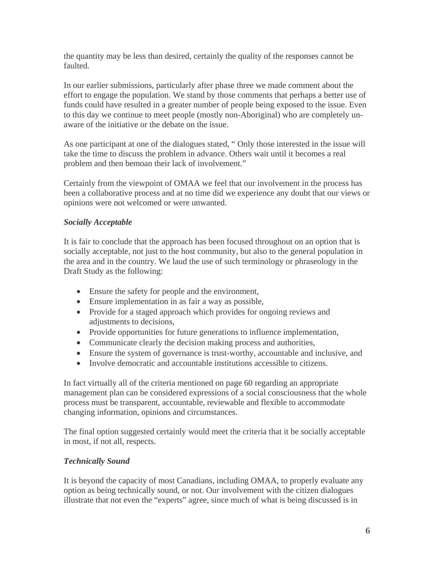the quantity may be less than desired, certainly the quality of the responses cannot be faulted.

In our earlier submissions, particularly after phase three we made comment about the effort to engage the population. We stand by those comments that perhaps a better use of funds could have resulted in a greater number of people being exposed to the issue. Even to this day we continue to meet people (mostly non-Aboriginal) who are completely unaware of the initiative or the debate on the issue.

As one participant at one of the dialogues stated, " Only those interested in the issue will take the time to discuss the problem in advance. Others wait until it becomes a real problem and then bemoan their lack of involvement."

Certainly from the viewpoint of OMAA we feel that our involvement in the process has been a collaborative process and at no time did we experience any doubt that our views or opinions were not welcomed or were unwanted.

## *Socially Acceptable*

It is fair to conclude that the approach has been focused throughout on an option that is socially acceptable, not just to the host community, but also to the general population in the area and in the country. We laud the use of such terminology or phraseology in the Draft Study as the following:

- Ensure the safety for people and the environment,
- Ensure implementation in as fair a way as possible,
- Provide for a staged approach which provides for ongoing reviews and adjustments to decisions,
- Provide opportunities for future generations to influence implementation,
- Communicate clearly the decision making process and authorities,
- Ensure the system of governance is trust-worthy, accountable and inclusive, and
- Involve democratic and accountable institutions accessible to citizens.

In fact virtually all of the criteria mentioned on page 60 regarding an appropriate management plan can be considered expressions of a social consciousness that the whole process must be transparent, accountable, reviewable and flexible to accommodate changing information, opinions and circumstances.

The final option suggested certainly would meet the criteria that it be socially acceptable in most, if not all, respects.

# *Technically Sound*

It is beyond the capacity of most Canadians, including OMAA, to properly evaluate any option as being technically sound, or not. Our involvement with the citizen dialogues illustrate that not even the "experts" agree, since much of what is being discussed is in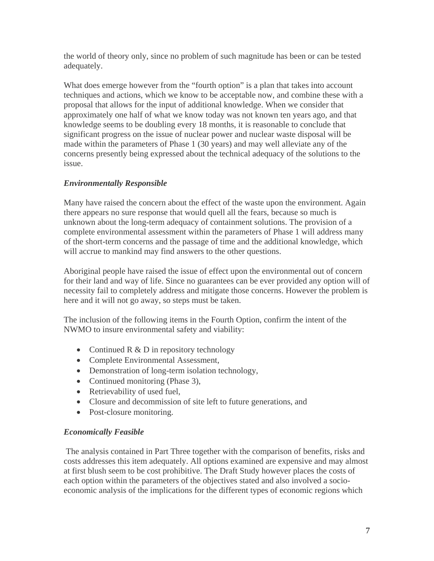the world of theory only, since no problem of such magnitude has been or can be tested adequately.

What does emerge however from the "fourth option" is a plan that takes into account techniques and actions, which we know to be acceptable now, and combine these with a proposal that allows for the input of additional knowledge. When we consider that approximately one half of what we know today was not known ten years ago, and that knowledge seems to be doubling every 18 months, it is reasonable to conclude that significant progress on the issue of nuclear power and nuclear waste disposal will be made within the parameters of Phase 1 (30 years) and may well alleviate any of the concerns presently being expressed about the technical adequacy of the solutions to the issue.

# *Environmentally Responsible*

Many have raised the concern about the effect of the waste upon the environment. Again there appears no sure response that would quell all the fears, because so much is unknown about the long-term adequacy of containment solutions. The provision of a complete environmental assessment within the parameters of Phase 1 will address many of the short-term concerns and the passage of time and the additional knowledge, which will accrue to mankind may find answers to the other questions.

Aboriginal people have raised the issue of effect upon the environmental out of concern for their land and way of life. Since no guarantees can be ever provided any option will of necessity fail to completely address and mitigate those concerns. However the problem is here and it will not go away, so steps must be taken.

The inclusion of the following items in the Fourth Option, confirm the intent of the NWMO to insure environmental safety and viability:

- Continued  $R \& D$  in repository technology
- Complete Environmental Assessment,
- Demonstration of long-term isolation technology,
- Continued monitoring (Phase 3),
- Retrievability of used fuel,
- Closure and decommission of site left to future generations, and
- Post-closure monitoring.

### *Economically Feasible*

 The analysis contained in Part Three together with the comparison of benefits, risks and costs addresses this item adequately. All options examined are expensive and may almost at first blush seem to be cost prohibitive. The Draft Study however places the costs of each option within the parameters of the objectives stated and also involved a socioeconomic analysis of the implications for the different types of economic regions which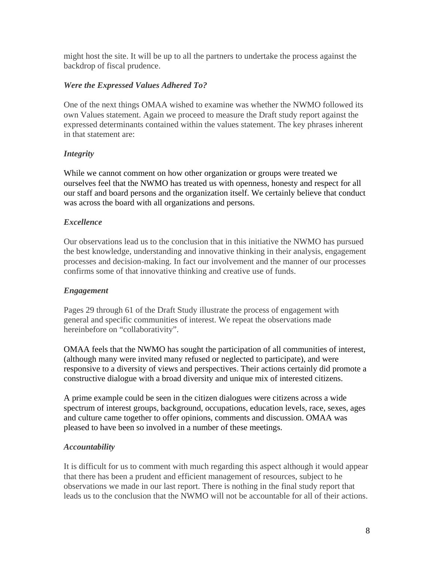might host the site. It will be up to all the partners to undertake the process against the backdrop of fiscal prudence.

### *Were the Expressed Values Adhered To?*

One of the next things OMAA wished to examine was whether the NWMO followed its own Values statement. Again we proceed to measure the Draft study report against the expressed determinants contained within the values statement. The key phrases inherent in that statement are:

# *Integrity*

While we cannot comment on how other organization or groups were treated we ourselves feel that the NWMO has treated us with openness, honesty and respect for all our staff and board persons and the organization itself. We certainly believe that conduct was across the board with all organizations and persons.

## *Excellence*

Our observations lead us to the conclusion that in this initiative the NWMO has pursued the best knowledge, understanding and innovative thinking in their analysis, engagement processes and decision-making. In fact our involvement and the manner of our processes confirms some of that innovative thinking and creative use of funds.

### *Engagement*

Pages 29 through 61 of the Draft Study illustrate the process of engagement with general and specific communities of interest. We repeat the observations made hereinbefore on "collaborativity".

OMAA feels that the NWMO has sought the participation of all communities of interest, (although many were invited many refused or neglected to participate), and were responsive to a diversity of views and perspectives. Their actions certainly did promote a constructive dialogue with a broad diversity and unique mix of interested citizens.

A prime example could be seen in the citizen dialogues were citizens across a wide spectrum of interest groups, background, occupations, education levels, race, sexes, ages and culture came together to offer opinions, comments and discussion. OMAA was pleased to have been so involved in a number of these meetings.

### *Accountability*

It is difficult for us to comment with much regarding this aspect although it would appear that there has been a prudent and efficient management of resources, subject to he observations we made in our last report. There is nothing in the final study report that leads us to the conclusion that the NWMO will not be accountable for all of their actions.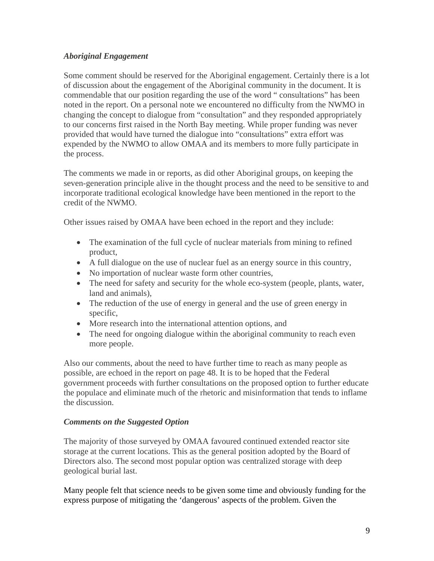### *Aboriginal Engagement*

Some comment should be reserved for the Aboriginal engagement. Certainly there is a lot of discussion about the engagement of the Aboriginal community in the document. It is commendable that our position regarding the use of the word " consultations" has been noted in the report. On a personal note we encountered no difficulty from the NWMO in changing the concept to dialogue from "consultation" and they responded appropriately to our concerns first raised in the North Bay meeting. While proper funding was never provided that would have turned the dialogue into "consultations" extra effort was expended by the NWMO to allow OMAA and its members to more fully participate in the process.

The comments we made in or reports, as did other Aboriginal groups, on keeping the seven-generation principle alive in the thought process and the need to be sensitive to and incorporate traditional ecological knowledge have been mentioned in the report to the credit of the NWMO.

Other issues raised by OMAA have been echoed in the report and they include:

- The examination of the full cycle of nuclear materials from mining to refined product,
- A full dialogue on the use of nuclear fuel as an energy source in this country,
- No importation of nuclear waste form other countries,
- The need for safety and security for the whole eco-system (people, plants, water, land and animals).
- The reduction of the use of energy in general and the use of green energy in specific,
- More research into the international attention options, and
- The need for ongoing dialogue within the aboriginal community to reach even more people.

Also our comments, about the need to have further time to reach as many people as possible, are echoed in the report on page 48. It is to be hoped that the Federal government proceeds with further consultations on the proposed option to further educate the populace and eliminate much of the rhetoric and misinformation that tends to inflame the discussion.

# *Comments on the Suggested Option*

The majority of those surveyed by OMAA favoured continued extended reactor site storage at the current locations. This as the general position adopted by the Board of Directors also. The second most popular option was centralized storage with deep geological burial last.

Many people felt that science needs to be given some time and obviously funding for the express purpose of mitigating the 'dangerous' aspects of the problem. Given the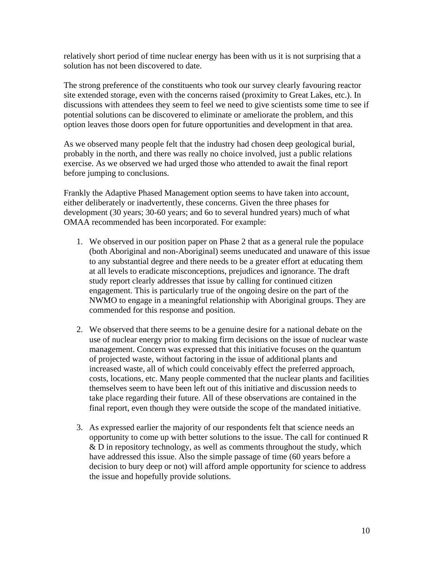relatively short period of time nuclear energy has been with us it is not surprising that a solution has not been discovered to date.

The strong preference of the constituents who took our survey clearly favouring reactor site extended storage, even with the concerns raised (proximity to Great Lakes, etc.). In discussions with attendees they seem to feel we need to give scientists some time to see if potential solutions can be discovered to eliminate or ameliorate the problem, and this option leaves those doors open for future opportunities and development in that area.

As we observed many people felt that the industry had chosen deep geological burial, probably in the north, and there was really no choice involved, just a public relations exercise. As we observed we had urged those who attended to await the final report before jumping to conclusions.

Frankly the Adaptive Phased Management option seems to have taken into account, either deliberately or inadvertently, these concerns. Given the three phases for development (30 years; 30-60 years; and 6o to several hundred years) much of what OMAA recommended has been incorporated. For example:

- 1. We observed in our position paper on Phase 2 that as a general rule the populace (both Aboriginal and non-Aboriginal) seems uneducated and unaware of this issue to any substantial degree and there needs to be a greater effort at educating them at all levels to eradicate misconceptions, prejudices and ignorance. The draft study report clearly addresses that issue by calling for continued citizen engagement. This is particularly true of the ongoing desire on the part of the NWMO to engage in a meaningful relationship with Aboriginal groups. They are commended for this response and position.
- 2. We observed that there seems to be a genuine desire for a national debate on the use of nuclear energy prior to making firm decisions on the issue of nuclear waste management. Concern was expressed that this initiative focuses on the quantum of projected waste, without factoring in the issue of additional plants and increased waste, all of which could conceivably effect the preferred approach, costs, locations, etc. Many people commented that the nuclear plants and facilities themselves seem to have been left out of this initiative and discussion needs to take place regarding their future. All of these observations are contained in the final report, even though they were outside the scope of the mandated initiative.
- 3. As expressed earlier the majority of our respondents felt that science needs an opportunity to come up with better solutions to the issue. The call for continued R & D in repository technology, as well as comments throughout the study, which have addressed this issue. Also the simple passage of time (60 years before a decision to bury deep or not) will afford ample opportunity for science to address the issue and hopefully provide solutions.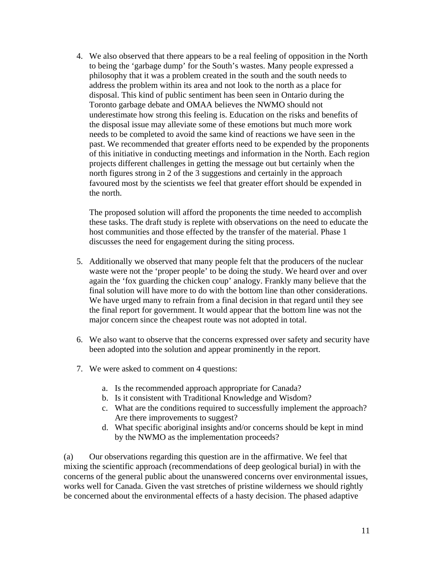4. We also observed that there appears to be a real feeling of opposition in the North to being the 'garbage dump' for the South's wastes. Many people expressed a philosophy that it was a problem created in the south and the south needs to address the problem within its area and not look to the north as a place for disposal. This kind of public sentiment has been seen in Ontario during the Toronto garbage debate and OMAA believes the NWMO should not underestimate how strong this feeling is. Education on the risks and benefits of the disposal issue may alleviate some of these emotions but much more work needs to be completed to avoid the same kind of reactions we have seen in the past. We recommended that greater efforts need to be expended by the proponents of this initiative in conducting meetings and information in the North. Each region projects different challenges in getting the message out but certainly when the north figures strong in 2 of the 3 suggestions and certainly in the approach favoured most by the scientists we feel that greater effort should be expended in the north.

The proposed solution will afford the proponents the time needed to accomplish these tasks. The draft study is replete with observations on the need to educate the host communities and those effected by the transfer of the material. Phase 1 discusses the need for engagement during the siting process.

- 5. Additionally we observed that many people felt that the producers of the nuclear waste were not the 'proper people' to be doing the study. We heard over and over again the 'fox guarding the chicken coup' analogy. Frankly many believe that the final solution will have more to do with the bottom line than other considerations. We have urged many to refrain from a final decision in that regard until they see the final report for government. It would appear that the bottom line was not the major concern since the cheapest route was not adopted in total.
- 6. We also want to observe that the concerns expressed over safety and security have been adopted into the solution and appear prominently in the report.
- 7. We were asked to comment on 4 questions:
	- a. Is the recommended approach appropriate for Canada?
	- b. Is it consistent with Traditional Knowledge and Wisdom?
	- c. What are the conditions required to successfully implement the approach? Are there improvements to suggest?
	- d. What specific aboriginal insights and/or concerns should be kept in mind by the NWMO as the implementation proceeds?

(a) Our observations regarding this question are in the affirmative. We feel that mixing the scientific approach (recommendations of deep geological burial) in with the concerns of the general public about the unanswered concerns over environmental issues, works well for Canada. Given the vast stretches of pristine wilderness we should rightly be concerned about the environmental effects of a hasty decision. The phased adaptive